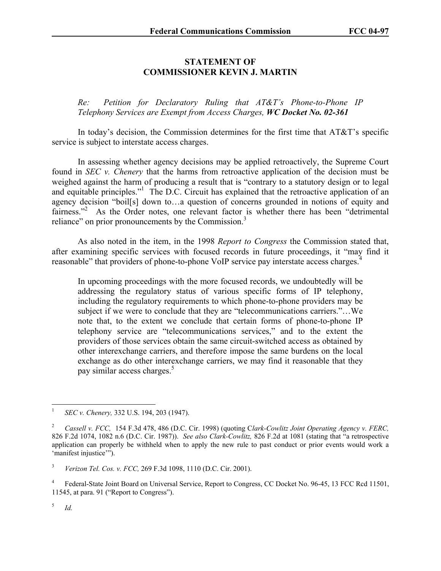## **STATEMENT OF COMMISSIONER KEVIN J. MARTIN**

*Re: Petition for Declaratory Ruling that AT&T's Phone-to-Phone IP Telephony Services are Exempt from Access Charges, WC Docket No. 02-361*

In today's decision, the Commission determines for the first time that  $AT&T$ 's specific service is subject to interstate access charges.

In assessing whether agency decisions may be applied retroactively, the Supreme Court found in *SEC v. Chenery* that the harms from retroactive application of the decision must be weighed against the harm of producing a result that is "contrary to a statutory design or to legal and equitable principles."<sup>1</sup> The D.C. Circuit has explained that the retroactive application of an agency decision "boil[s] down to…a question of concerns grounded in notions of equity and fairness."<sup>2</sup> As the Order notes, one relevant factor is whether there has been "detrimental reliance" on prior pronouncements by the Commission.<sup>3</sup>

As also noted in the item, in the 1998 *Report to Congress* the Commission stated that, after examining specific services with focused records in future proceedings, it "may find it reasonable" that providers of phone-to-phone VoIP service pay interstate access charges.<sup>4</sup>

In upcoming proceedings with the more focused records, we undoubtedly will be addressing the regulatory status of various specific forms of IP telephony, including the regulatory requirements to which phone-to-phone providers may be subject if we were to conclude that they are "telecommunications carriers."…We note that, to the extent we conclude that certain forms of phone-to-phone IP telephony service are "telecommunications services," and to the extent the providers of those services obtain the same circuit-switched access as obtained by other interexchange carriers, and therefore impose the same burdens on the local exchange as do other interexchange carriers, we may find it reasonable that they pay similar access charges.<sup>5</sup>

5 *Id.* 

 $\frac{1}{1}$ *SEC v. Chenery,* 332 U.S. 194, 203 (1947).

<sup>2</sup> *Cassell v. FCC,* 154 F.3d 478, 486 (D.C. Cir. 1998) (quoting C*lark-Cowlitz Joint Operating Agency v. FERC,*  826 F.2d 1074, 1082 n.6 (D.C. Cir. 1987)). *See also Clark-Cowlitz,* 826 F.2d at 1081 (stating that "a retrospective application can properly be withheld when to apply the new rule to past conduct or prior events would work a 'manifest injustice'").

<sup>3</sup> *Verizon Tel. Cos. v. FCC,* 269 F.3d 1098, 1110 (D.C. Cir. 2001).

<sup>4</sup> Federal-State Joint Board on Universal Service, Report to Congress, CC Docket No. 96-45, 13 FCC Rcd 11501, 11545, at para. 91 ("Report to Congress").